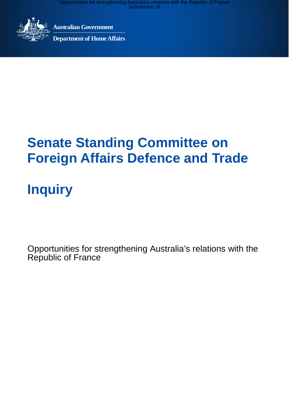

**Australian Government**

**Department of Home Affairs**

## **Senate Standing Committee on Foreign Affairs Defence and Trade**

# **Inquiry**

Opportunities for strengthening Australia's relations with the Republic of France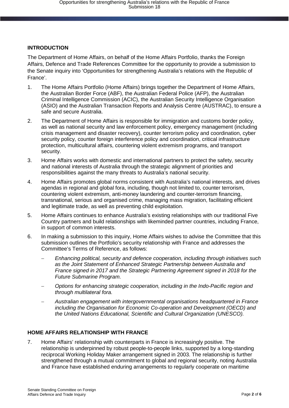### **INTRODUCTION**

The Department of Home Affairs, on behalf of the Home Affairs Portfolio, thanks the Foreign Affairs, Defence and Trade References Committee for the opportunity to provide a submission to the Senate inquiry into 'Opportunities for strengthening Australia's relations with the Republic of France'.

- 1. The Home Affairs Portfolio (Home Affairs) brings together the Department of Home Affairs, the Australian Border Force (ABF), the Australian Federal Police (AFP), the Australian Criminal Intelligence Commission (ACIC), the Australian Security Intelligence Organisation (ASIO) and the Australian Transaction Reports and Analysis Centre (AUSTRAC), to ensure a safe and secure Australia.
- 2. The Department of Home Affairs is responsible for immigration and customs border policy, as well as national security and law enforcement policy, emergency management (including crisis management and disaster recovery), counter terrorism policy and coordination, cyber security policy, counter foreign interference policy and coordination, critical infrastructure protection, multicultural affairs, countering violent extremism programs, and transport security.
- 3. Home Affairs works with domestic and international partners to protect the safety, security and national interests of Australia through the strategic alignment of priorities and responsibilities against the many threats to Australia's national security.
- 4. Home Affairs promotes global norms consistent with Australia's national interests, and drives agendas in regional and global fora, including, though not limited to, counter terrorism, countering violent extremism, anti-money laundering and counter-terrorism financing, transnational, serious and organised crime, managing mass migration, facilitating efficient and legitimate trade, as well as preventing child exploitation.
- 5. Home Affairs continues to enhance Australia's existing relationships with our traditional Five Country partners and build relationships with likeminded partner countries, including France, in support of common interests.
- 6. In making a submission to this inquiry, Home Affairs wishes to advise the Committee that this submission outlines the Portfolio's security relationship with France and addresses the Committee's Terms of Reference, as follows:
	- *Enhancing political, security and defence cooperation, including through initiatives such as the Joint Statement of Enhanced Strategic Partnership between Australia and France signed in 2017 and the Strategic Partnering Agreement signed in 2018 for the Future Submarine Program.*
	- *Options for enhancing strategic cooperation, including in the Indo-Pacific region and through multilateral fora.*
	- *Australian engagement with intergovernmental organisations headquartered in France including the Organisation for Economic Co-operation and Development (OECD) and the United Nations Educational, Scientific and Cultural Organization (UNESCO).*

### **HOME AFFAIRS RELATIONSHIP WITH FRANCE**

7. Home Affairs' relationship with counterparts in France is increasingly positive. The relationship is underpinned by robust people-to-people links, supported by a long-standing reciprocal Working Holiday Maker arrangement signed in 2003. The relationship is further strengthened through a mutual commitment to global and regional security, noting Australia and France have established enduring arrangements to regularly cooperate on maritime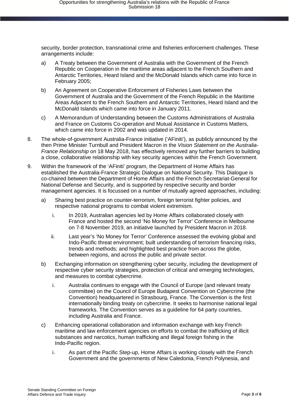security, border protection, transnational crime and fisheries enforcement challenges. These arrangements include:

- a) A Treaty between the Government of Australia with the Government of the French Republic on Cooperation in the maritime areas adjacent to the French Southern and Antarctic Territories, Heard Island and the McDonald Islands which came into force in February 2005;
- b) An Agreement on Cooperative Enforcement of Fisheries Laws between the Government of Australia and the Government of the French Republic in the Maritime Areas Adjacent to the French Southern and Antarctic Territories, Heard Island and the McDonald Islands which came into force in January 2011.
- c) A Memorandum of Understanding between the Customs Administrations of Australia and France on Customs Co-operation and Mutual Assistance in Customs Matters, which came into force in 2002 and was updated in 2014.
- 8. The whole-of-government Australia-France initiative ('AFiniti'), as publicly announced by the then Prime Minister Turnbull and President Macron in the *Vision Statement on the Australia-France Relationship* on 18 May 2018, has effectively removed any further barriers to building a close, collaborative relationship with key security agencies within the French Government.
- 9. Within the framework of the 'AFiniti' program, the Department of Home Affairs has established the Australia-France Strategic Dialogue on National Security. This Dialogue is co-chaired between the Department of Home Affairs and the French Secretariat-General for National Defense and Security, and is supported by respective security and border management agencies. It is focussed on a number of mutually agreed approaches, including:
	- a) Sharing best practice on counter-terrorism, foreign terrorist fighter policies, and respective national programs to combat violent extremism.
		- i. In 2019, Australian agencies led by Home Affairs collaborated closely with France and hosted the second 'No Money for Terror' Conference in Melbourne on 7-8 November 2019, an initiative launched by President Macron in 2018.
		- ii. Last year's 'No Money for Terror' Conference assessed the evolving global and Indo-Pacific threat environment; built understanding of terrorism financing risks, trends and methods; and highlighted best practice from across the globe, between regions, and across the public and private sector.
	- b) Exchanging information on strengthening cyber security, including the development of respective cyber security strategies, protection of critical and emerging technologies, and measures to combat cybercrime.
		- i. Australia continues to engage with the Council of Europe (and relevant treaty committee) on the Council of Europe Budapest Convention on Cybercrime (the Convention) headquartered in Strasbourg, France. The Convention is the first internationally binding treaty on cybercrime. It seeks to harmonise national legal frameworks. The Convention serves as a guideline for 64 party countries, including Australia and France.
	- c) Enhancing operational collaboration and information exchange with key French maritime and law enforcement agencies on efforts to combat the trafficking of illicit substances and narcotics, human trafficking and illegal foreign fishing in the Indo-Pacific region.
		- i. As part of the Pacific Step-up, Home Affairs is working closely with the French Government and the governments of New Caledonia, French Polynesia, and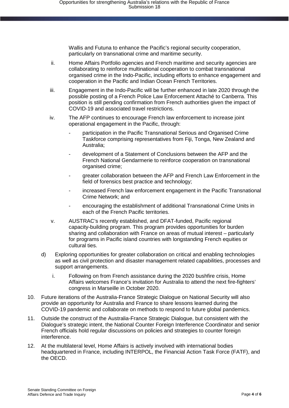Wallis and Futuna to enhance the Pacific's regional security cooperation, particularly on transnational crime and maritime security.

- ii. Home Affairs Portfolio agencies and French maritime and security agencies are collaborating to reinforce multinational cooperation to combat transnational organised crime in the Indo-Pacific, including efforts to enhance engagement and cooperation in the Pacific and Indian Ocean French Territories.
- iii. Engagement in the Indo-Pacific will be further enhanced in late 2020 through the possible posting of a French Police Law Enforcement Attaché to Canberra. This position is still pending confirmation from French authorities given the impact of COVID-19 and associated travel restrictions.
- iv. The AFP continues to encourage French law enforcement to increase joint operational engagement in the Pacific, through:
	- participation in the Pacific Transnational Serious and Organised Crime Taskforce comprising representatives from Fiji, Tonga, New Zealand and Australia;
	- development of a Statement of Conclusions between the AFP and the French National Gendarmerie to reinforce cooperation on transnational organised crime;
	- greater collaboration between the AFP and French Law Enforcement in the field of forensics best practice and technology;
	- increased French law enforcement engagement in the Pacific Transnational Crime Network; and
	- encouraging the establishment of additional Transnational Crime Units in each of the French Pacific territories.
- v. AUSTRAC's recently established, and DFAT-funded, Pacific regional capacity-building program. This program provides opportunities for burden sharing and collaboration with France on areas of mutual interest – particularly for programs in Pacific island countries with longstanding French equities or cultural ties.
- d) Exploring opportunities for greater collaboration on critical and enabling technologies as well as civil protection and disaster management related capabilities, processes and support arrangements.
	- i. Following on from French assistance during the 2020 bushfire crisis, Home Affairs welcomes France's invitation for Australia to attend the next fire-fighters' congress in Marseille in October 2020.
- 10. Future iterations of the Australia-France Strategic Dialogue on National Security will also provide an opportunity for Australia and France to share lessons learned during the COVID-19 pandemic and collaborate on methods to respond to future global pandemics.
- 11. Outside the construct of the Australia-France Strategic Dialogue, but consistent with the Dialogue's strategic intent, the National Counter Foreign Interference Coordinator and senior French officials hold regular discussions on policies and strategies to counter foreign interference.
- 12. At the multilateral level, Home Affairs is actively involved with international bodies headquartered in France, including INTERPOL, the Financial Action Task Force (FATF), and the OECD.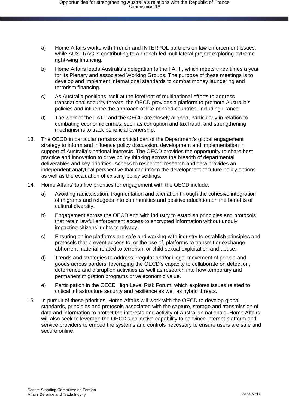- a) Home Affairs works with French and INTERPOL partners on law enforcement issues, while AUSTRAC is contributing to a French-led multilateral project exploring extreme right-wing financing.
- b) Home Affairs leads Australia's delegation to the FATF, which meets three times a year for its Plenary and associated Working Groups. The purpose of these meetings is to develop and implement international standards to combat money laundering and terrorism financing.
- c) As Australia positions itself at the forefront of multinational efforts to address transnational security threats, the OECD provides a platform to promote Australia's policies and influence the approach of like-minded countries, including France.
- d) The work of the FATF and the OECD are closely aligned, particularly in relation to combating economic crimes, such as corruption and tax fraud, and strengthening mechanisms to track beneficial ownership.
- 13. The OECD in particular remains a critical part of the Department's global engagement strategy to inform and influence policy discussion, development and implementation in support of Australia's national interests. The OECD provides the opportunity to share best practice and innovation to drive policy thinking across the breadth of departmental deliverables and key priorities. Access to respected research and data provides an independent analytical perspective that can inform the development of future policy options as well as the evaluation of existing policy settings.
- 14. Home Affairs' top five priorities for engagement with the OECD include:
	- a) Avoiding radicalisation, fragmentation and alienation through the cohesive integration of migrants and refugees into communities and positive education on the benefits of cultural diversity.
	- b) Engagement across the OECD and with industry to establish principles and protocols that retain lawful enforcement access to encrypted information without unduly impacting citizens' rights to privacy.
	- c) Ensuring online platforms are safe and working with industry to establish principles and protocols that prevent access to, or the use of, platforms to transmit or exchange abhorrent material related to terrorism or child sexual exploitation and abuse.
	- d) Trends and strategies to address irregular and/or illegal movement of people and goods across borders, leveraging the OECD's capacity to collaborate on detection, deterrence and disruption activities as well as research into how temporary and permanent migration programs drive economic value.
	- e) Participation in the OECD High Level Risk Forum, which explores issues related to critical infrastructure security and resilience as well as hybrid threats.
- 15. In pursuit of these priorities, Home Affairs will work with the OECD to develop global standards, principles and protocols associated with the capture, storage and transmission of data and information to protect the interests and activity of Australian nationals. Home Affairs will also seek to leverage the OECD's collective capability to convince internet platform and service providers to embed the systems and controls necessary to ensure users are safe and secure online.